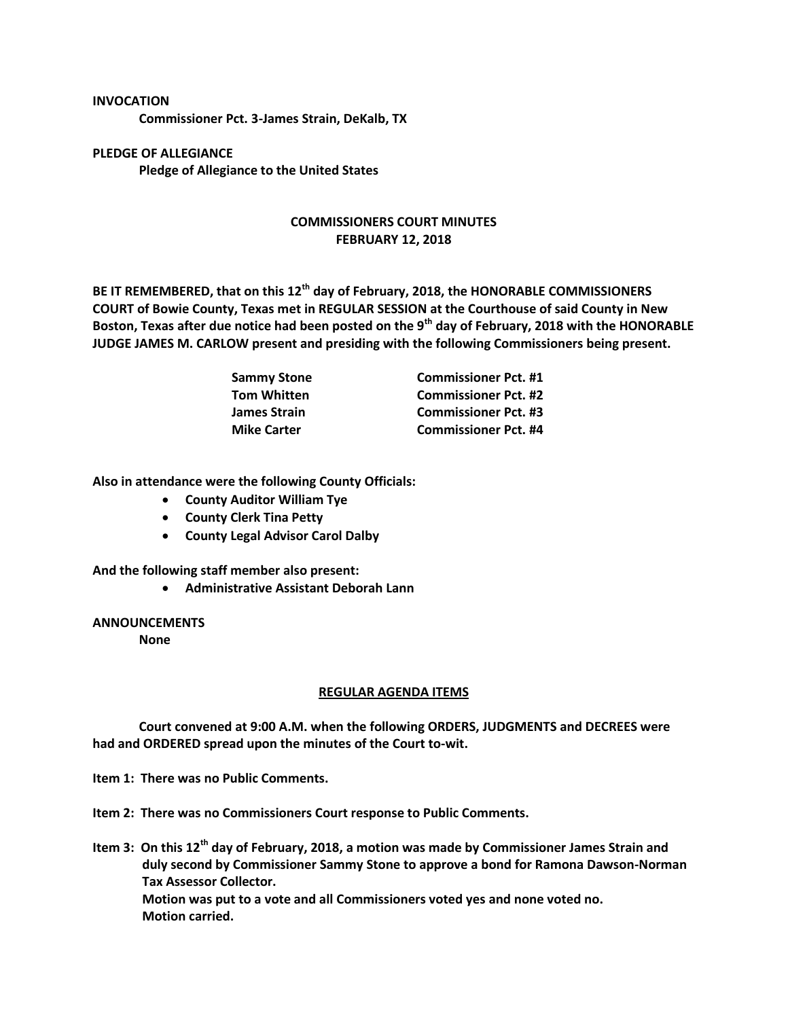## **INVOCATION**

**Commissioner Pct. 3-James Strain, DeKalb, TX**

**PLEDGE OF ALLEGIANCE Pledge of Allegiance to the United States**

## **COMMISSIONERS COURT MINUTES FEBRUARY 12, 2018**

**BE IT REMEMBERED, that on this 12th day of February, 2018, the HONORABLE COMMISSIONERS COURT of Bowie County, Texas met in REGULAR SESSION at the Courthouse of said County in New Boston, Texas after due notice had been posted on the 9th day of February, 2018 with the HONORABLE JUDGE JAMES M. CARLOW present and presiding with the following Commissioners being present.**

| <b>Sammy Stone</b> | <b>Commissioner Pct. #1</b> |
|--------------------|-----------------------------|
| <b>Tom Whitten</b> | <b>Commissioner Pct. #2</b> |
| James Strain       | <b>Commissioner Pct. #3</b> |
| <b>Mike Carter</b> | <b>Commissioner Pct. #4</b> |

**Also in attendance were the following County Officials:**

- **County Auditor William Tye**
- **County Clerk Tina Petty**
- **County Legal Advisor Carol Dalby**

**And the following staff member also present:**

**Administrative Assistant Deborah Lann**

## **ANNOUNCEMENTS**

**None**

## **REGULAR AGENDA ITEMS**

**Court convened at 9:00 A.M. when the following ORDERS, JUDGMENTS and DECREES were had and ORDERED spread upon the minutes of the Court to-wit.**

**Item 1: There was no Public Comments.**

**Item 2: There was no Commissioners Court response to Public Comments.**

**Item 3: On this 12th day of February, 2018, a motion was made by Commissioner James Strain and duly second by Commissioner Sammy Stone to approve a bond for Ramona Dawson-Norman Tax Assessor Collector. Motion was put to a vote and all Commissioners voted yes and none voted no. Motion carried.**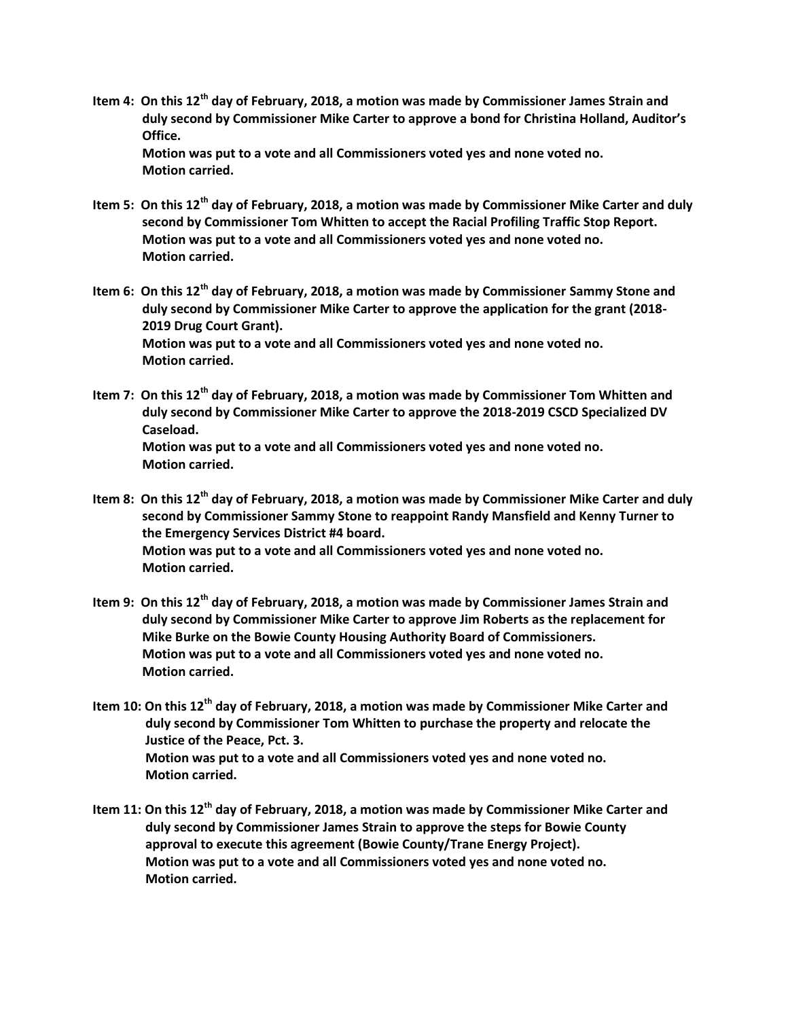- **Item 4: On this 12th day of February, 2018, a motion was made by Commissioner James Strain and duly second by Commissioner Mike Carter to approve a bond for Christina Holland, Auditor's Office. Motion was put to a vote and all Commissioners voted yes and none voted no. Motion carried.**
- **Item 5: On this 12th day of February, 2018, a motion was made by Commissioner Mike Carter and duly second by Commissioner Tom Whitten to accept the Racial Profiling Traffic Stop Report. Motion was put to a vote and all Commissioners voted yes and none voted no. Motion carried.**
- **Item 6: On this 12th day of February, 2018, a motion was made by Commissioner Sammy Stone and duly second by Commissioner Mike Carter to approve the application for the grant (2018- 2019 Drug Court Grant). Motion was put to a vote and all Commissioners voted yes and none voted no. Motion carried.**
- **Item 7: On this 12th day of February, 2018, a motion was made by Commissioner Tom Whitten and duly second by Commissioner Mike Carter to approve the 2018-2019 CSCD Specialized DV Caseload. Motion was put to a vote and all Commissioners voted yes and none voted no. Motion carried.**
- **Item 8: On this 12th day of February, 2018, a motion was made by Commissioner Mike Carter and duly second by Commissioner Sammy Stone to reappoint Randy Mansfield and Kenny Turner to the Emergency Services District #4 board. Motion was put to a vote and all Commissioners voted yes and none voted no. Motion carried.**
- **Item 9: On this 12th day of February, 2018, a motion was made by Commissioner James Strain and duly second by Commissioner Mike Carter to approve Jim Roberts as the replacement for Mike Burke on the Bowie County Housing Authority Board of Commissioners. Motion was put to a vote and all Commissioners voted yes and none voted no. Motion carried.**
- **Item 10: On this 12th day of February, 2018, a motion was made by Commissioner Mike Carter and duly second by Commissioner Tom Whitten to purchase the property and relocate the Justice of the Peace, Pct. 3. Motion was put to a vote and all Commissioners voted yes and none voted no. Motion carried.**
- **Item 11: On this 12th day of February, 2018, a motion was made by Commissioner Mike Carter and duly second by Commissioner James Strain to approve the steps for Bowie County approval to execute this agreement (Bowie County/Trane Energy Project). Motion was put to a vote and all Commissioners voted yes and none voted no. Motion carried.**